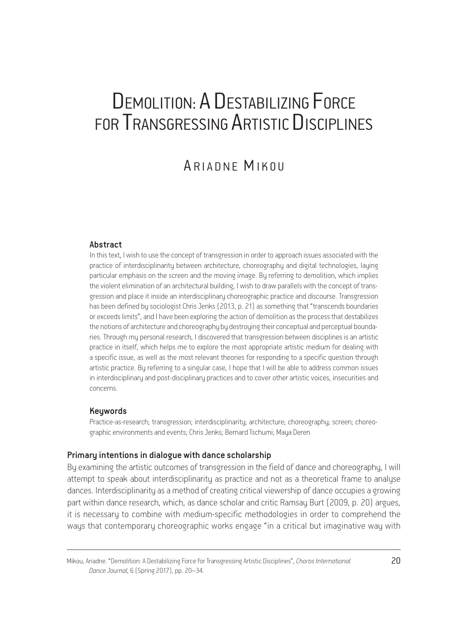# DEMOLITION: A DESTABILIZING FORCE FOR TRANSGRESSING ARTISTIC DISCIPLINES

# ARIADNE MIKOU

#### Abstract

In this text, I wish to use the concept of transgression in order to approach issues associated with the practice of interdisciplinarity between architecture, choreography and digital technologies, laying particular emphasis on the screen and the moving image. By referring to demolition, which implies the violent elimination of an architectural building, I wish to draw parallels with the concept of transgression and place it inside an interdisciplinary choreographic practice and discourse. Transgression has been defined by sociologist Chris Jenks (2013, p. 21) as something that "transcends boundaries or exceeds limits", and I have been exploring the action of demolition as the process that destabilizes the notions of architecture and choreography by destroying their conceptual and perceptual boundaries. Through my personal research, I discovered that transgression between disciplines is an artistic practice in itself, which helps me to explore the most appropriate artistic medium for dealing with a specific issue, as well as the most relevant theories for responding to a specific question through artistic practice. By referring to a singular case, I hope that I will be able to address common issues in interdisciplinary and post-disciplinary practices and to cover other artistic voices, insecurities and concerns.

#### Keywords

Practice-as-research; transgression; interdisciplinarity; architecture; choreography; screen; choreographic environments and events; Chris Jenks; Bernard Tschumi; Maya Deren

#### Primary intentions in dialogue with dance scholarship

By examining the artistic outcomes of transgression in the field of dance and choreography, I will attempt to speak about interdisciplinarity as practice and not as a theoretical frame to analyse dances. Interdisciplinarity as a method of creating critical viewership of dance occupies a growing part within dance research, which, as dance scholar and critic Ramsay Burt (2009, p. 20) argues, it is necessary to combine with medium-specific methodologies in order to comprehend the ways that contemporary choreographic works engage "in a critical but imaginative way with

Mikou, Ariadne. "Demolition: A Destabilizing Force for Transgressing Artistic Disciplines", *Choros International* 20 *Dance Journal*, 6 (Spring 2017), pp. 20–34.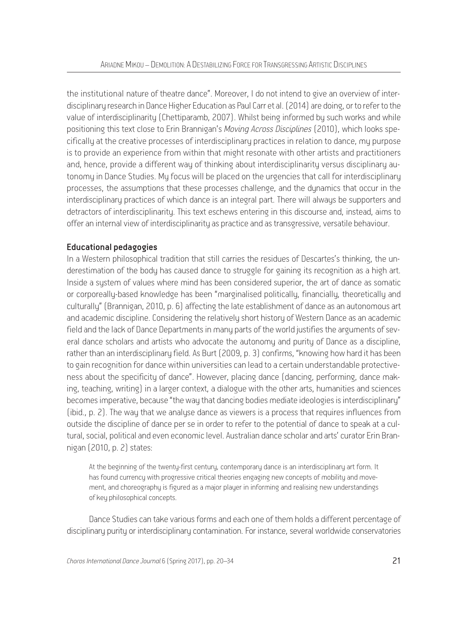the institutional nature of theatre dance". Moreover, I do not intend to give an overview of interdisciplinary research in Dance Higher Education as Paul Carr et al. (2014) are doing, or to refer to the value of interdisciplinarity (Chettiparamb, 2007). Whilst being informed by such works and while positioning this text close to Erin Brannigan's *Moving Across Disciplines* (2010), which looks specifically at the creative processes of interdisciplinary practices in relation to dance, my purpose is to provide an experience from within that might resonate with other artists and practitioners and, hence, provide a different way of thinking about interdisciplinarity versus disciplinary aytonomy in Dance Studies. My focus will be placed on the urgencies that call for interdisciplinary processes, the assumptions that these processes challenge, and the dunamics that occur in the interdisciplinary practices of which dance is an integral part. There will always be supporters and detractors of interdisciplinarity. This text eschews entering in this discourse and, instead, aims to offer an internal view of interdisciplinarity as practice and as transgressive, versatile behaviour.

# Educational pedagogies

In a Western philosophical tradition that still carries the residues of Descartes's thinking, the underestimation of the body has caused dance to struggle for gaining its recognition as a high art. Inside a system of values where mind has been considered superior, the art of dance as somatic or corporeally-based knowledge has been "marginalised politically, financially, theoretically and culturally" (Brannigan, 2010, p. 6) affecting the late establishment of dance as an autonomous art and academic discipline. Considering the relatively short history of Western Dance as an academic field and the lack of Dance Departments in many parts of the world justifies the arguments of several dance scholars and artists who advocate the autonomy and purity of Dance as a discipline, rather than an interdisciplinary field. As Burt (2009, p. 3) confirms, "knowing how hard it has been to gain recognition for dance within universities can lead to a certain understandable protectiveness about the specificity of dance". However, placing dance (dancing, performing, dance making, teaching, writing) in a larger context, a dialogue with the other arts, humanities and sciences becomes imperative, because "the way that dancing bodies mediate ideologies is interdisciplinary" (ibid., p. 2). The way that we analyse dance as viewers is a process that requires influences from outside the discipline of dance per se in order to refer to the potential of dance to speak at a cultural, social, political and even economic level. Australian dance scholar and arts' curator Erin Brannigan (2010, p. 2) states:

At the beginning of the twenty-first century, contemporary dance is an interdisciplinary art form. It has found currency with progressive critical theories engaging new concepts of mobility and movement, and choreography is figured as a major player in informing and realising new understandings of key philosophical concepts.

Dance Studies can take various forms and each one of them holds a different percentage of disciplinary purity or interdisciplinary contamination. For instance, several worldwide conservatories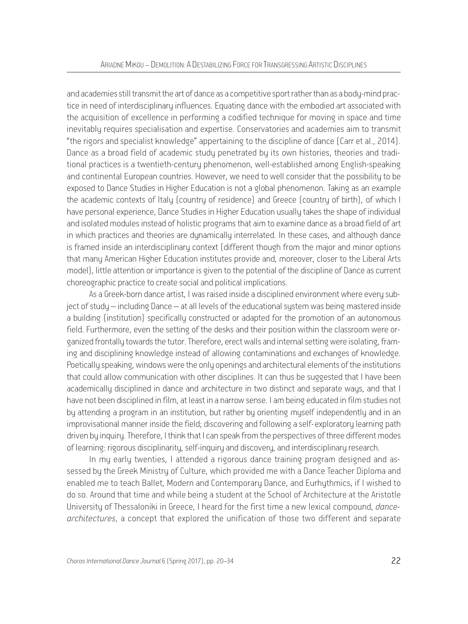and academies still transmit the art of dance as a competitive sport rather than as a body-mind practice in need of interdisciplinary influences. Equating dance with the embodied art associated with the acquisition of excellence in performing a codified technique for moving in space and time inevitably requires specialisation and expertise. Conservatories and academies aim to transmit "the rigors and specialist knowledge" appertaining to the discipline of dance (Carr et al., 2014). Dance as a broad field of academic study penetrated by its own histories, theories and traditional practices is a twentieth-century phenomenon, well-established among English-speaking and continental European countries. However, we need to well consider that the possibility to be exposed to Dance Studies in Higher Education is not a global phenomenon. Taking as an example the academic contexts of Italy (country of residence) and Greece (country of birth), of which I have personal experience, Dance Studies in Higher Education usually takes the shape of individual and isolated modules instead of holistic programs that aim to examine dance as a broad field of art in which practices and theories are dynamically interrelated. In these cases, and although dance is framed inside an interdisciplinary context (different though from the major and minor options that many American Higher Education institutes provide and, moreover, closer to the Liberal Arts model), little attention or importance is given to the potential of the discipline of Dance as current choreographic practice to create social and political implications.

As a Greek-born dance artist, I was raised inside a disciplined environment where every subject of study – including Dance – at all levels of the educational system was being mastered inside a building (institution) specifically constructed or adapted for the promotion of an autonomous field. Furthermore, even the setting of the desks and their position within the classroom were organized frontally towards the tutor. Therefore, erect walls and internal setting were isolating, framing and disciplining knowledge instead of allowing contaminations and exchanges of knowledge. Poetically speaking, windows were the only openings and architectural elements of the institutions that could allow communication with other disciplines. It can thus be suggested that I have been academically disciplined in dance and architecture in two distinct and separate ways, and that I have not been disciplined in film, at least in a narrow sense. I am being educated in film studies not by attending a program in an institution, but rather by orienting myself independently and in an improvisational manner inside the field; discovering and following a self-exploratory learning path driven by inquiry. Therefore, I think that I can speak from the perspectives of three different modes of learning: rigorous disciplinarity, self-inquiry and discovery, and interdisciplinary research.

In my early twenties, I attended a rigorous dance training program designed and assessed by the Greek Ministry of Culture, which provided me with a Dance Teacher Diploma and enabled me to teach Ballet, Modern and Contemporary Dance, and Eurhythmics, if I wished to do so. Around that time and while being a student at the School of Architecture at the Aristotle University of Thessaloniki in Greece, I heard for the first time a new lexical compound, *dancearchitectures*, a concept that explored the unification of those two different and separate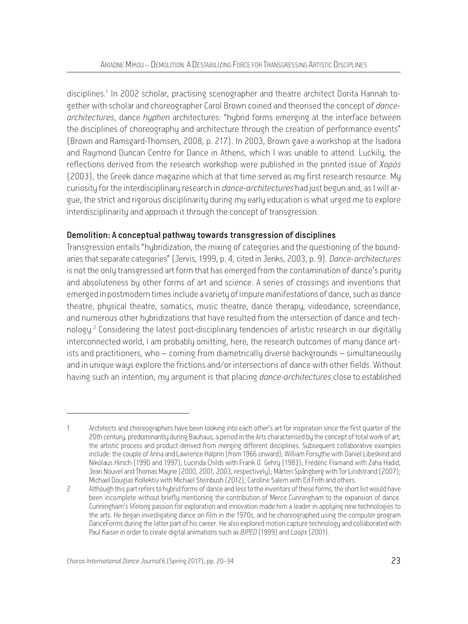disciplines.<sup>1</sup> In 2002 scholar, practising scenographer and theatre architect Dorita Hannah together with scholar and choreographer Carol Brown coined and theorised the concept of *dancearchitectures*, dance *hyphen* architectures: "hybrid forms emerging at the interface between the disciplines of choreography and architecture through the creation of performance events" (Brown and Ramsgard-Thomsen, 2008, p. 217). In 2003, Brown gave a workshop at the Isadora and Raymond Duncan Centre for Dance in Athens, which I was unable to attend. Luckily, the reflections derived from the research workshop were published in the printed issue of *Χορός*  (2003), the Greek dance magazine which at that time served as my first research resource. My curiosity for the interdisciplinary research in *dance-architectures* had just begun and, as I will argue, the strict and rigorous disciplinarity during my early education is what urged me to explore interdisciplinarity and approach it through the concept of transgression.

# Demolition: A conceptual pathway towards transgression of disciplines

Transgression entails "hybridization, the mixing of categories and the questioning of the boundaries that separate categories" (Jervis, 1999, p. 4, cited in Jenks, 2003, p. 9). *Dance-architectures* is not the only transgressed art form that has emerged from the contamination of dance's purity and absoluteness by other forms of art and science. A series of crossings and inventions that emerged in postmodern times include a variety of impure manifestations of dance, such as dance theatre, physical theatre, somatics, music theatre, dance therapy, videodance, screendance, and numerous other hybridizations that have resulted from the intersection of dance and technology.<sup>2</sup> Considering the latest post-disciplinary tendencies of artistic research in our digitally interconnected world, I am probably omitting, here, the research outcomes of many dance artists and practitioners, who – coming from diametrically diverse backgrounds – simultaneously and in unique ways explore the frictions and/or intersections of dance with other fields. Without having such an intention, my argument is that placing *dance-architectures* close to established

Architects and choreographers have been looking into each other's art for inspiration since the first quarter of the 20th century, predominantly during Bauhaus, a period in the Arts characterised by the concept of total work of art; the artistic process and product derived from merging different disciplines. Subsequent collaborative examples include: the couple of Anna and Lawrence Halprin (from 1966 onward); William Forsythe with Daniel Libeskind and Nikolaus Hirsch (1990 and 1997); Lucinda Childs with Frank O. Gehry (1983); Frédéric Flamand with Zaha Hadid, Jean Nouvel and Thomas Mayne (2000, 2001, 2003, respectively); Mårten Spångberg with Tor Lindstrand (2007); Michael Douglas Kollektiv with Michael Steinbush (2012); Caroline Salem with Ed Frith and others.

<sup>2</sup> Although this part refers to hubrid forms of dance and less to the inventors of these forms, the short list would have been incomplete without briefly mentioning the contribution of Merce Cunningham to the expansion of dance. Cunningham's lifelong passion for exploration and innovation made him a leader in applying new technologies to the arts. He began investigating dance on film in the 1970s, and he choreographed using the computer program DanceForms during the latter part of his career. He also explored motion capture technology and collaborated with Paul Kaiser in order to create digital animations such as *BIPED* (1999) and *Loops* (2001).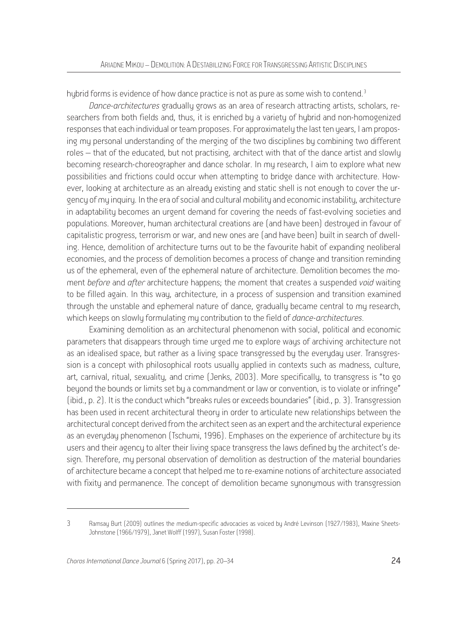hybrid forms is evidence of how dance practice is not as pure as some wish to contend.<sup>3</sup>

*Dance-architectures* gradually grows as an area of research attracting artists, scholars, researchers from both fields and, thus, it is enriched by a variety of hybrid and non-homogenized responses that each individual or team proposes. For approximately the last ten years, I am proposing my personal understanding of the merging of the two disciplines by combining two different roles – that of the educated, but not practising, architect with that of the dance artist and slowly becoming research-choreographer and dance scholar. In mu research, I aim to explore what new possibilities and frictions could occur when attempting to bridge dance with architecture. However, looking at architecture as an already existing and static shell is not enough to cover the urgency of my inquiry. In the era of social and cultural mobility and economic instability, architecture in adaptability becomes an urgent demand for covering the needs of fast-evolving societies and populations. Moreover, human architectural creations are (and have been) destroyed in favour of capitalistic progress, terrorism or war, and new ones are (and have been) built in search of dwelling. Hence, demolition of architecture turns out to be the favourite habit of expanding neoliberal economies, and the process of demolition becomes a process of change and transition reminding us of the ephemeral, even of the ephemeral nature of architecture. Demolition becomes the moment *before* and *after* architecture happens; the moment that creates a suspended *void* waiting to be filled again. In this way, architecture, in a process of suspension and transition examined through the unstable and ephemeral nature of dance, gradually became central to my research, which keeps on slowly formulating my contribution to the field of *dance-architectures*.

Examining demolition as an architectural phenomenon with social, political and economic parameters that disappears through time urged me to explore ways of archiving architecture not as an idealised space, but rather as a living space transgressed by the everyday user. Transgression is a concept with philosophical roots usually applied in contexts such as madness, culture, art, carnival, ritual, sexuality, and crime (Jenks, 2003). More specifically, to transgress is "to go beyond the bounds or limits set by a commandment or law or convention, is to violate or infringe" (ibid., p. 2). It is the conduct which "breaks rules or exceeds boundaries" (ibid., p. 3). Transgression has been used in recent architectural theory in order to articulate new relationships between the architectural concept derived from the architect seen as an expert and the architectural experience as an everyday phenomenon (Tschumi, 1996). Emphases on the experience of architecture by its users and their agency to alter their living space transgress the laws defined by the architect's design. Therefore, my personal observation of demolition as destruction of the material boundaries of architecture became a concept that helped me to re-examine notions of architecture associated with fixity and permanence. The concept of demolition became synonymous with transgression

<sup>3</sup> Ramsay Burt (2009) outlines the medium-specific advocacies as voiced by André Levinson (1927/1983), Maxine Sheets-Johnstone (1966/1979), Janet Wolff (1997), Susan Foster (1998).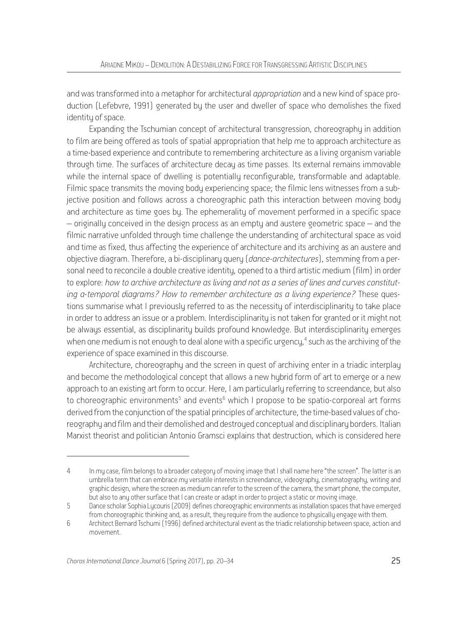and was transformed into a metaphor for architectural *appropriation* and a new kind of space production (Lefebvre, 1991) generated by the user and dweller of space who demolishes the fixed identity of space.

Expanding the Tschumian concept of architectural transgression, choreography in addition to film are being offered as tools of spatial appropriation that help me to approach architecture as a time-based experience and contribute to remembering architecture as a living organism variable through time. The surfaces of architecture decay as time passes. Its external remains immovable while the internal space of dwelling is potentially reconfigurable, transformable and adaptable. Filmic space transmits the moving body experiencing space; the filmic lens witnesses from a subjective position and follows across a choreographic path this interaction between moving body and architecture as time goes by. The ephemerality of movement performed in a specific space – originally conceived in the design process as an empty and austere geometric space – and the filmic narrative unfolded through time challenge the understanding of architectural space as void and time as fixed, thus affecting the experience of architecture and its archiving as an austere and objective diagram. Therefore, a bi-disciplinary query (*dance-architectures*), stemming from a personal need to reconcile a double creative identity, opened to a third artistic medium (film) in order to explore: *how to archive architecture as living and not as a series of lines and curves constituting a-temporal diagrams? How to remember architecture as a living experience?* These questions summarise what I previously referred to as the necessity of interdisciplinarity to take place in order to address an issue or a problem. Interdisciplinarity is not taken for granted or it might not be always essential, as disciplinarity builds profound knowledge. But interdisciplinarity emerges when one medium is not enough to deal alone with a specific urgency, $^4$  such as the archiving of the experience of space examined in this discourse.

Architecture, choreography and the screen in quest of archiving enter in a triadic interplay and become the methodological concept that allows a new hybrid form of art to emerge or a new approach to an existing art form to occur. Here, I am particularly referring to screendance, but also to choreographic environments<sup>5</sup> and events $^6$  which I propose to be spatio-corporeal art forms derived from the conjunction of the spatial principles of architecture, the time-based values of choreography and film and their demolished and destroyed conceptual and disciplinary borders. Italian Marxist theorist and politician Antonio Gramsci explains that destruction, which is considered here

<sup>4</sup> In my case, film belongs to a broader category of moving image that I shall name here "the screen". The latter is an umbrella term that can embrace my versatile interests in screendance, videography, cinematography, writing and graphic design, where the screen as medium can refer to the screen of the camera, the smart phone, the computer, but also to any other surface that I can create or adapt in order to project a static or moving image.

<sup>5</sup> Dance scholar Sophia Lycouris (2009) defines choreographic environments as installation spaces that have emerged from choreographic thinking and, as a result, they require from the audience to physically engage with them.

<sup>6</sup> Architect Bernard Tschumi (1996) defined architectural event as the triadic relationship between space, action and movement.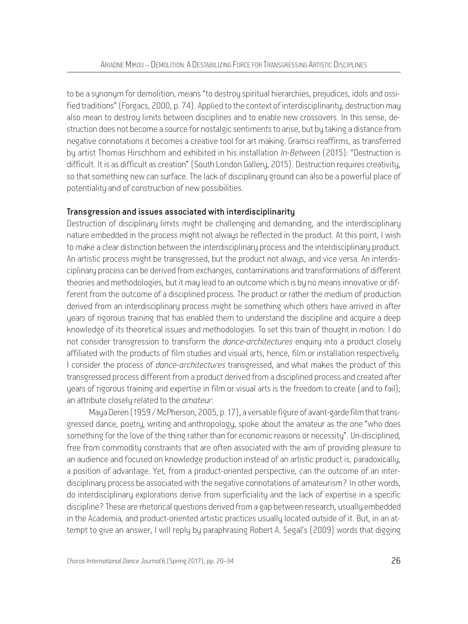to be a synonym for demolition, means "to destroy spiritual hierarchies, prejudices, idols and ossified traditions" (Forgacs, 2000, p. 74). Applied to the context of interdisciplinarity, destruction may also mean to destroy limits between disciplines and to enable new crossovers. In this sense, destruction does not become a source for nostalgic sentiments to arise, but by taking a distance from negative connotations it becomes a creative tool for art making. Gramsci reaffirms, as transferred by artist Thomas Hirschhorn and exhibited in his installation *In-Between* (2015): "Destruction is difficult. It is as difficult as creation" (South London Gallery, 2015). Destruction requires creativity, so that something new can surface. The lack of disciplinary ground can also be a powerful place of potentiality and of construction of new possibilities.

#### Transgression and issues associated with interdisciplinarity

Destruction of disciplinary limits might be challenging and demanding, and the interdisciplinary nature embedded in the process might not always be reflected in the product. At this point, I wish to make a clear distinction between the interdisciplinary process and the interdisciplinary product. An artistic process might be transgressed, but the product not always, and vice versa. An interdisciplinary process can be derived from exchanges, contaminations and transformations of different theories and methodologies, but it may lead to an outcome which is by no means innovative or different from the outcome of a disciplined process. The product or rather the medium of production derived from an interdisciplinary process might be something which others have arrived in after years of rigorous training that has enabled them to understand the discipline and acquire a deep knowledge of its theoretical issues and methodologies. To set this train of thought in motion: I do not consider transgression to transform the *dance-architectures* enquiry into a product closely affiliated with the products of film studies and visual arts, hence, film or installation respectively. I consider the process of *dance-architectures* transgressed, and what makes the product of this transgressed process different from a product derived from a disciplined process and created after years of rigorous training and expertise in film or visual arts is the freedom to create (and to fail); an attribute closely related to the *amateur*.

Maya Deren (1959 / McPherson, 2005, p. 17), a versatile figure of avant-garde film that transgressed dance, poetry, writing and anthropology, spoke about the amateur as the one "who does something for the love of the thing rather than for economic reasons or necessity". Un-disciplined, free from commodity constraints that are often associated with the aim of providing pleasure to an audience and focused on knowledge production instead of an artistic product is, paradoxically, a position of advantage. Yet, from a product-oriented perspective, can the outcome of an interdisciplinary process be associated with the negative connotations of amateurism? In other words, do interdisciplinary explorations derive from superficiality and the lack of expertise in a specific discipline? These are rhetorical questions derived from a gap between research, usually embedded in the Academia, and product-oriented artistic practices usually located outside of it. But, in an attempt to give an answer, I will reply by paraphrasing Robert A. Segal's (2009) words that digging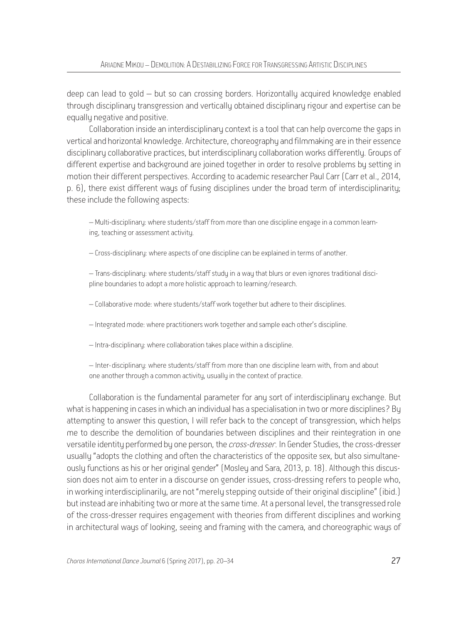deep can lead to gold – but so can crossing borders. Horizontally acquired knowledge enabled through disciplinary transgression and vertically obtained disciplinary rigour and expertise can be equally negative and positive.

Collaboration inside an interdisciplinary context is a tool that can help overcome the gaps in vertical and horizontal knowledge. Architecture, choreography and filmmaking are in their essence disciplinary collaborative practices, but interdisciplinary collaboration works differently. Groups of different expertise and background are joined together in order to resolve problems bu setting in motion their different perspectives. According to academic researcher Paul Carr (Carr et al., 2014, p. 6), there exist different ways of fusing disciplines under the broad term of interdisciplinarity; these include the following aspects:

– Multi-disciplinary: where students/staff from more than one discipline engage in a common learning, teaching or assessment activity.

– Cross-disciplinary: where aspects of one discipline can be explained in terms of another.

– Trans-disciplinary: where students/staff study in a way that blurs or even ignores traditional discipline boundaries to adopt a more holistic approach to learning/research.

- Collaborative mode: where students/staff work together but adhere to their disciplines.
- Integrated mode: where practitioners work together and sample each other's discipline.
- Intra-disciplinary: where collaboration takes place within a discipline.

– Inter-disciplinary: where students/staff from more than one discipline learn with, from and about one another through a common activity, usually in the context of practice.

Collaboration is the fundamental parameter for any sort of interdisciplinary exchange. But what is happening in cases in which an individual has a specialisation in two or more disciplines? By attempting to answer this question, I will refer back to the concept of transgression, which helps me to describe the demolition of boundaries between disciplines and their reintegration in one versatile identity performed by one person, the *cross-dresser*. In Gender Studies, the cross-dresser usually "adopts the clothing and often the characteristics of the opposite sex, but also simultaneously functions as his or her original gender" (Mosley and Sara, 2013, p. 18). Although this discussion does not aim to enter in a discourse on gender issues, cross-dressing refers to people who, in working interdisciplinarily, are not "merely stepping outside of their original discipline" (ibid.) but instead are inhabiting two or more at the same time. At a personal level, the transgressed role of the cross-dresser requires engagement with theories from different disciplines and working in architectural ways of looking, seeing and framing with the camera, and choreographic ways of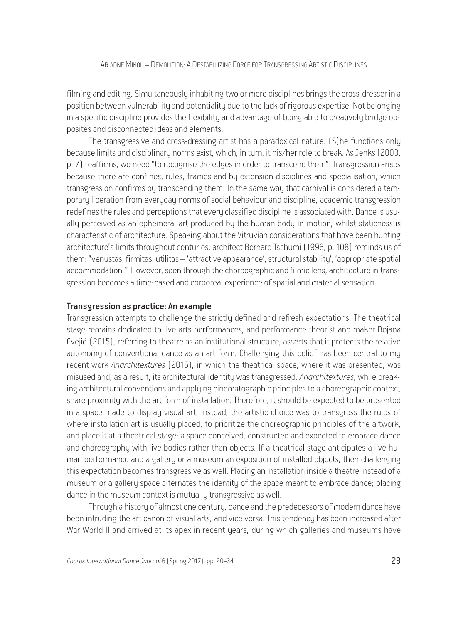filming and editing. Simultaneously inhabiting two or more disciplines brings the cross-dresser in a position between vulnerability and potentiality due to the lack of rigorous expertise. Not belonging in a specific discipline provides the flexibility and advantage of being able to creatively bridge opposites and disconnected ideas and elements.

The transgressive and cross-dressing artist has a paradoxical nature. (S)he functions only because limits and disciplinary norms exist, which, in turn, it his/her role to break. As Jenks (2003, p. 7) reaffirms, we need "to recognise the edges in order to transcend them". Transgression arises because there are confines, rules, frames and by extension disciplines and specialisation, which transgression confirms by transcending them. In the same way that carnival is considered a temporary liberation from everyday norms of social behaviour and discipline, academic transgression redefines the rules and perceptions that every classified discipline is associated with. Dance is usually perceived as an ephemeral art produced by the human body in motion, whilst staticness is characteristic of architecture. Speaking about the Vitruvian considerations that have been hunting architecture's limits throughout centuries, architect Bernard Tschumi (1996, p. 108) reminds us of them: "venustas, firmitas, utilitas – 'attractive appearance', structural stability', 'appropriate spatial accommodation.'" However, seen through the choreographic and filmic lens, architecture in transgression becomes a time-based and corporeal experience of spatial and material sensation.

#### Transgression as practice: An example

Transgression attempts to challenge the strictly defined and refresh expectations. The theatrical stage remains dedicated to live arts performances, and performance theorist and maker Bojana Cvejic΄ (2015), referring to theatre as an institutional structure, asserts that it protects the relative autonomy of conventional dance as an art form. Challenging this belief has been central to my recent work *Anarchitextures* (2016), in which the theatrical space, where it was presented, was misused and, as a result, its architectural identity was transgressed. *Anarchitextures*, while breaking architectural conventions and applying cinematographic principles to a choreographic context, share proximity with the art form of installation. Therefore, it should be expected to be presented in a space made to display visual art. Instead, the artistic choice was to transgress the rules of where installation art is usually placed, to prioritize the choreographic principles of the artwork, and place it at a theatrical stage; a space conceived, constructed and expected to embrace dance and choreography with live bodies rather than objects. If a theatrical stage anticipates a live human performance and a gallery or a museum an exposition of installed objects, then challenging this expectation becomes transgressive as well. Placing an installation inside a theatre instead of a museum or a gallery space alternates the identity of the space meant to embrace dance; placing dance in the museum context is mutually transgressive as well.

Through a history of almost one century, dance and the predecessors of modern dance have been intruding the art canon of visual arts, and vice versa. This tendency has been increased after War World II and arrived at its apex in recent years, during which galleries and museums have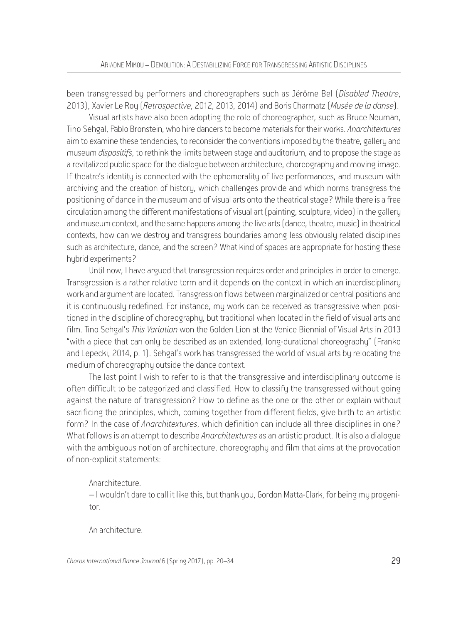been transgressed by performers and choreographers such as Jérôme Bel (*Disabled Theatre*, 2013), Xavier Le Roy (*Retrospective*, 2012, 2013, 2014) and Boris Charmatz (*Musée de la danse*).

Visual artists have also been adopting the role of choreographer, such as Bruce Neuman, Tino Sehgal, Pablo Bronstein, who hire dancers to become materials for their works. *Anarchitextures*  aim to examine these tendencies, to reconsider the conventions imposed by the theatre, gallery and museum *dispositifs*, to rethink the limits between stage and auditorium, and to propose the stage as a revitalized public space for the dialogue between architecture, choreography and moving image. If theatre's identity is connected with the ephemerality of live performances, and museum with archiving and the creation of history, which challenges provide and which norms transgress the positioning of dance in the museum and of visual arts onto the theatrical stage? While there is a free circulation among the different manifestations of visual art (painting, sculpture, video) in the gallery and museum context, and the same happens among the live arts (dance, theatre, music) in theatrical contexts, how can we destroy and transgress boundaries among less obviously related disciplines such as architecture, dance, and the screen? What kind of spaces are appropriate for hosting these hybrid experiments?

Until now, I have argued that transgression requires order and principles in order to emerge. Transgression is a rather relative term and it depends on the context in which an interdisciplinary work and argument are located. Transgression flows between marginalized or central positions and it is continuously redefined. For instance, my work can be received as transgressive when positioned in the discipline of choreography, but traditional when located in the field of visual arts and film. Tino Sehgal's *This Variation* won the Golden Lion at the Venice Biennial of Visual Arts in 2013 "with a piece that can only be described as an extended, long-durational choreography" (Franko and Lepecki, 2014, p. 1). Sehgal's work has transgressed the world of visual arts by relocating the medium of choreography outside the dance context.

The last point I wish to refer to is that the transgressive and interdisciplinary outcome is often difficult to be categorized and classified. How to classify the transgressed without going against the nature of transgression? How to define as the one or the other or explain without sacrificing the principles, which, coming together from different fields, give birth to an artistic form? In the case of *Anarchitextures*, which definition can include all three disciplines in one? What follows is an attempt to describe *Anarchitextures* as an artistic product. It is also a dialogue with the ambiguous notion of architecture, choreography and film that aims at the provocation of non-explicit statements:

#### Anarchitecture.

– I wouldn't dare to call it like this, but thank you, Gordon Matta-Clark, for being my progenitor.

An architecture.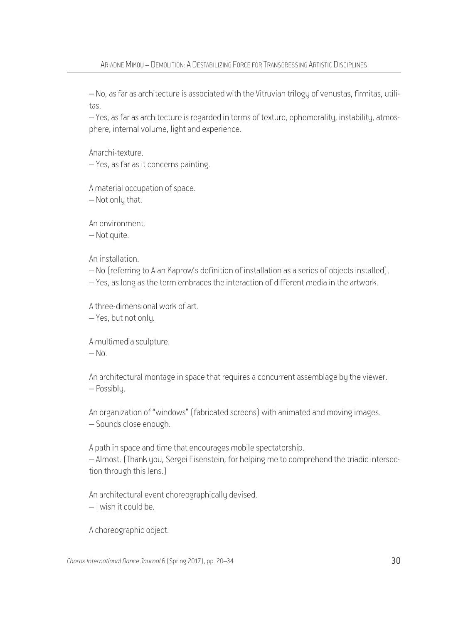– No, as far as architecture is associated with the Vitruvian trilogy of venustas, firmitas, utilitas.

– Yes, as far as architecture is regarded in terms of texture, ephemerality, instability, atmosphere, internal volume, light and experience.

Anarchi-texture.

– Yes, as far as it concerns painting.

A material occupation of space.

 $-$  Not only that.

An environment.

– Not quite.

An installation.

- No (referring to Alan Kaprow's definition of installation as a series of objects installed).
- Yes, as long as the term embraces the interaction of different media in the artwork.

A three-dimensional work of art.

– Yes, but not only.

A multimedia sculpture.

 $-$  No.

An architectural montage in space that requires a concurrent assemblage by the viewer. – Possibly.

An organization of "windows" (fabricated screens) with animated and moving images. – Sounds close enough.

A path in space and time that encourages mobile spectatorship.

– Almost. (Thank you, Sergei Eisenstein, for helping me to comprehend the triadic intersection through this lens.)

An architectural event choreographically devised. – I wish it could be.

A choreographic object.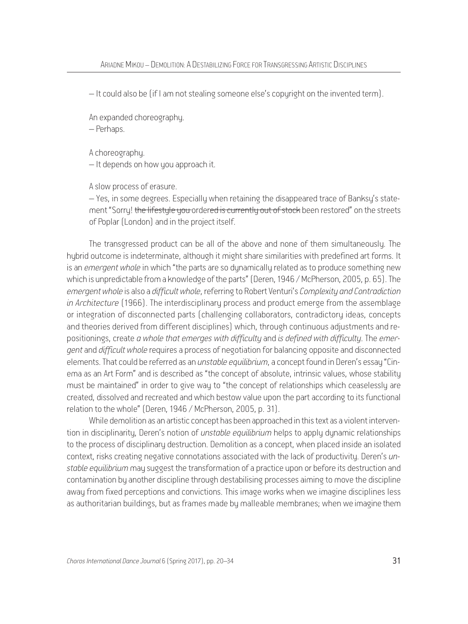– It could also be (if I am not stealing someone else's copyright on the invented term).

An expanded choreography.

– Perhaps.

A choreography.

– It depends on how you approach it.

A slow process of erasure.

– Yes, in some degrees. Especially when retaining the disappeared trace of Banksy's statement "Sorry! the lifestyle you ordered is currently out of stock been restored" on the streets of Poplar (London) and in the project itself.

The transgressed product can be all of the above and none of them simultaneously. The hybrid outcome is indeterminate, although it might share similarities with predefined art forms. It is an *emergent whole* in which "the parts are so dynamically related as to produce something new which is unpredictable from a knowledge of the parts"(Deren, 1946 / McPherson, 2005, p. 65). The *emergent whole* is also a *difficult whole*, referring to Robert Venturi's *Complexity and Contradiction in Architecture* (1966). The interdisciplinary process and product emerge from the assemblage or integration of disconnected parts (challenging collaborators, contradictory ideas, concepts and theories derived from different disciplines) which, through continuous adjustments and repositionings, create *a whole that emerges with difficulty* and *is defined with difficulty*. The *emergent* and *difficult whole* requires a process of negotiation for balancing opposite and disconnected elements. That could be referred as an *unstable equilibrium*, a concept found in Deren's essay "Cinema as an Art Form" and is described as "the concept of absolute, intrinsic values, whose stability must be maintained" in order to give way to "the concept of relationships which ceaselessly are created, dissolved and recreated and which bestow value upon the part according to its functional relation to the whole" (Deren, 1946 / McPherson, 2005, p. 31).

While demolition as an artistic concept has been approached in this text as a violent intervention in disciplinarity, Deren's notion of *unstable equilibrium* helps to apply dynamic relationships to the process of disciplinary destruction. Demolition as a concept, when placed inside an isolated context, risks creating negative connotations associated with the lack of productivity. Deren's *unstable equilibrium* may suggest the transformation of a practice upon or before its destruction and contamination by another discipline through destabilising processes aiming to move the discipline away from fixed perceptions and convictions. This image works when we imagine disciplines less as authoritarian buildings, but as frames made by malleable membranes; when we imagine them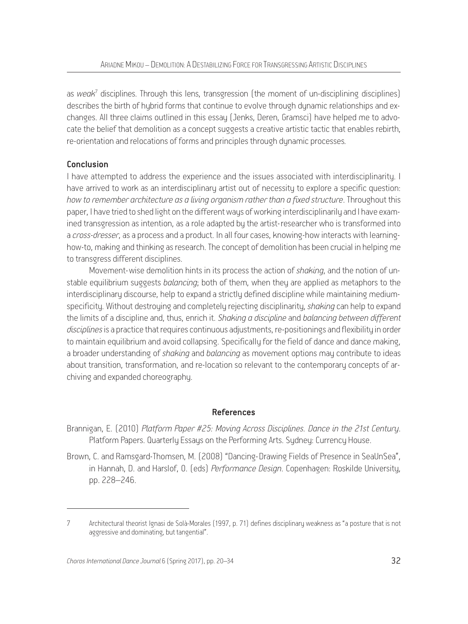as *weak*<sup>7</sup> disciplines. Through this lens, transgression (the moment of un-disciplining disciplines) describes the birth of hybrid forms that continue to evolve through dynamic relationships and exchanges. All three claims outlined in this essay (Jenks, Deren, Gramsci) have helped me to advocate the belief that demolition as a concept suggests a creative artistic tactic that enables rebirth, re-orientation and relocations of forms and principles through dynamic processes*.*

# Conclusion

I have attempted to address the experience and the issues associated with interdisciplinarity. I have arrived to work as an interdisciplinary artist out of necessity to explore a specific question: *how to remember architecture as a living organism rather than a fixed structure*. Throughout this paper, I have tried to shed light on the different ways of working interdisciplinarily and I have examined transgression as intention, as a role adapted by the artist-researcher who is transformed into a *cross-dresser*, as a process and a product. In all four cases, knowing-how interacts with learninghow-to, making and thinking as research. The concept of demolition has been crucial in helping me to transgress different disciplines.

Movement-wise demolition hints in its process the action of *shaking*, and the notion of unstable equilibrium suggests *balancing*; both of them, when they are applied as metaphors to the interdisciplinary discourse, help to expand a strictly defined discipline while maintaining mediumspecificity. Without destroying and completely rejecting disciplinarity, *shaking* can help to expand the limits of a discipline and, thus, enrich it. *Shaking a discipline* and *balancing between different disciplines* is a practice that requires continuous adjustments, re-positionings and flexibility in order to maintain equilibrium and avoid collapsing. Specifically for the field of dance and dance making, a broader understanding of *shaking* and *balancing* as movement options may contribute to ideas about transition, transformation, and re-location so relevant to the contemporary concepts of archiving and expanded choreography.

#### References

- Brannigan, E. (2010) *Platform Paper #25: Moving Across Disciplines. Dance in the 21st Century*. Platform Papers. Quarterly Essays on the Performing Arts. Sydney: Currency House.
- Brown, C. and Ramsgard-Thomsen, M. (2008) "Dancing-Drawing Fields of Presence in SeaUnSea", in Hannah, D. and Harslof, O. (eds) *Performance Design*. Copenhagen: Roskilde University, pp. 228–246.

<sup>7</sup> Architectural theorist Ignasi de Solà-Morales (1997, p. 71) defines disciplinary weakness as "a posture that is not aggressive and dominating, but tangential".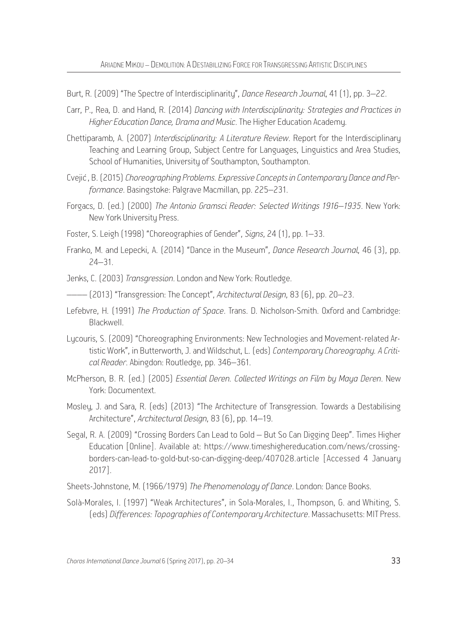Burt, R. (2009) "The Spectre of Interdisciplinarity", *Dance Research Journal*, 41 (1), pp. 3–22.

- Carr, P., Rea, D. and Hand, R. (2014) *Dancing with Interdisciplinarity: Strategies and Practices in Higher Education Dance, Drama and Music*. The Higher Education Academy.
- Chettiparamb, A. (2007) *Interdisciplinarity: A Literature Review*. Report for the Interdisciplinary Teaching and Learning Group, Subject Centre for Languages, Linguistics and Area Studies, School of Humanities, University of Southampton, Southampton.
- Cvejic΄, B. (2015) *Choreographing Problems. Expressive Concepts in Contemporary Dance and Performance*. Basingstoke: Palgrave Macmillan, pp. 225–231.
- Forgacs, D. (ed.) (2000) *The Antonio Gramsci Reader: Selected Writings 1916–1935*. New York: New York University Press.
- Foster, S. Leigh (1998) "Choreographies of Gender", *Signs*, 24 (1), pp. 1–33.
- Franko, M. and Lepecki, A. (2014) "Dance in the Museum", *Dance Research Journal*, 46 (3), pp. 24–31.
- Jenks, C. (2003) *Transgression*. London and New York: Routledge.

–––– (2013) "Transgression: The Concept", *Architectural Design*, 83 (6), pp. 20–23.

- Lefebvre, H. (1991) *The Production of Space*. Trans. D. Nicholson-Smith. Oxford and Cambridge: Blackwell.
- Lycouris, S. (2009) "Choreographing Environments: New Technologies and Movement-related Artistic Work", in Butterworth, J. and Wildschut, L. (eds) *Contemporary Choreography. A Critical Reader*. Abingdon: Routledge, pp. 346–361.
- McPherson, B. R. (ed.) (2005) *Essential Deren. Collected Writings on Film by Maya Deren*. New York: Documentext.
- Mosley, J. and Sara, R. (eds) (2013) "The Architecture of Transgression. Towards a Destabilising Architecture", *Architectural Design*, 83 (6), pp. 14–19.
- Segal, R. A. (2009) "Crossing Borders Can Lead to Gold But So Can Digging Deep". Times Higher Education [Online]. Available at: https://www.timeshighereducation.com/news/crossingborders-can-lead-to-gold-but-so-can-digging-deep/407028.article [Accessed 4 January 2017].

Sheets-Johnstone, M. (1966/1979) *The Phenomenology of Dance*. London: Dance Books.

Solà-Morales, I. (1997) "Weak Architectures", in Sola-Morales, I., Thompson, G. and Whiting, S. (eds) *Differences: Topographies of Contemporary Architecture*. Massachusetts: MIT Press.